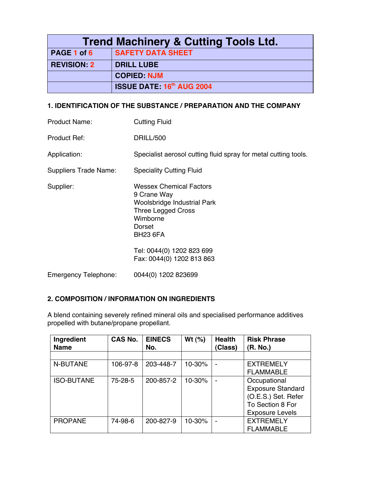| <b>Trend Machinery &amp; Cutting Tools Ltd.</b> |                                  |  |
|-------------------------------------------------|----------------------------------|--|
| PAGE 1 of 6                                     | <b>SAFETY DATA SHEET</b>         |  |
| <b>REVISION: 2</b>                              | <b>DRILL LUBE</b>                |  |
|                                                 | <b>COPIED: NJM</b>               |  |
|                                                 | <b>ISSUE DATE: 16th AUG 2004</b> |  |

### **1. IDENTIFICATION OF THE SUBSTANCE / PREPARATION AND THE COMPANY**

| <b>Product Name:</b>         | <b>Cutting Fluid</b>                                                                                                                                      |
|------------------------------|-----------------------------------------------------------------------------------------------------------------------------------------------------------|
| <b>Product Ref:</b>          | DRILL/500                                                                                                                                                 |
| Application:                 | Specialist aerosol cutting fluid spray for metal cutting tools.                                                                                           |
| <b>Suppliers Trade Name:</b> | <b>Speciality Cutting Fluid</b>                                                                                                                           |
| Supplier:                    | <b>Wessex Chemical Factors</b><br>9 Crane Way<br><b>Woolsbridge Industrial Park</b><br><b>Three Legged Cross</b><br>Wimborne<br>Dorset<br><b>BH23 6FA</b> |
|                              | Tel: 0044(0) 1202 823 699<br>Fax: 0044(0) 1202 813 863                                                                                                    |
| <b>Emergency Telephone:</b>  | 0044(0) 1202 823699                                                                                                                                       |

## **2. COMPOSITION / INFORMATION ON INGREDIENTS**

A blend containing severely refined mineral oils and specialised performance additives propelled with butane/propane propellant.

| Ingredient<br><b>Name</b> | <b>CAS No.</b> | <b>EINECS</b><br>No. | Wt $(%)$ | <b>Health</b><br>Class) | <b>Risk Phrase</b><br>(R. No.) |
|---------------------------|----------------|----------------------|----------|-------------------------|--------------------------------|
|                           |                |                      |          |                         |                                |
| N-BUTANE                  | 106-97-8       | 203-448-7            | 10-30%   |                         | <b>EXTREMELY</b>               |
|                           |                |                      |          |                         | <b>FLAMMABLE</b>               |
| <b>ISO-BUTANE</b>         | 75-28-5        | 200-857-2            | 10-30%   |                         | Occupational                   |
|                           |                |                      |          |                         | <b>Exposure Standard</b>       |
|                           |                |                      |          |                         | (O.E.S.) Set. Refer            |
|                           |                |                      |          |                         | To Section 8 For               |
|                           |                |                      |          |                         | <b>Exposure Levels</b>         |
| <b>PROPANE</b>            | 74-98-6        | 200-827-9            | 10-30%   |                         | <b>EXTREMELY</b>               |
|                           |                |                      |          |                         | <b>FLAMMABLE</b>               |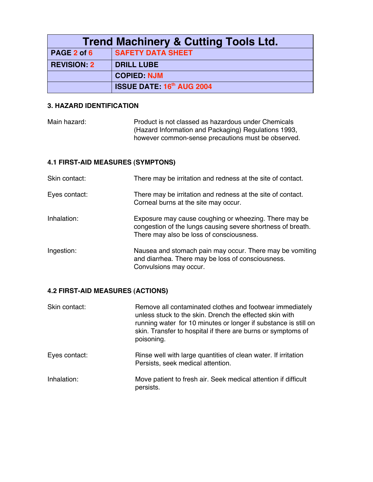| <b>Trend Machinery &amp; Cutting Tools Ltd.</b> |                                  |  |
|-------------------------------------------------|----------------------------------|--|
| PAGE 2 of 6                                     | <b>SAFETY DATA SHEET</b>         |  |
| <b>REVISION: 2</b>                              | <b>DRILL LUBE</b>                |  |
|                                                 | <b>COPIED: NJM</b>               |  |
|                                                 | <b>ISSUE DATE: 16th AUG 2004</b> |  |

### **3. HAZARD IDENTIFICATION**

Main hazard: Product is not classed as hazardous under Chemicals (Hazard Information and Packaging) Regulations 1993, however common-sense precautions must be observed.

## **4.1 FIRST-AID MEASURES (SYMPTONS)**

| Skin contact: | There may be irritation and redness at the site of contact.                                                                                                      |
|---------------|------------------------------------------------------------------------------------------------------------------------------------------------------------------|
| Eyes contact: | There may be irritation and redness at the site of contact.<br>Corneal burns at the site may occur.                                                              |
| Inhalation:   | Exposure may cause coughing or wheezing. There may be<br>congestion of the lungs causing severe shortness of breath.<br>There may also be loss of consciousness. |
| Ingestion:    | Nausea and stomach pain may occur. There may be vomiting<br>and diarrhea. There may be loss of consciousness.<br>Convulsions may occur.                          |

# **4.2 FIRST-AID MEASURES (ACTIONS)**

| Skin contact: | Remove all contaminated clothes and footwear immediately<br>unless stuck to the skin. Drench the effected skin with<br>running water for 10 minutes or longer if substance is still on<br>skin. Transfer to hospital if there are burns or symptoms of<br>poisoning. |
|---------------|----------------------------------------------------------------------------------------------------------------------------------------------------------------------------------------------------------------------------------------------------------------------|
| Eyes contact: | Rinse well with large quantities of clean water. If irritation<br>Persists, seek medical attention.                                                                                                                                                                  |
| Inhalation:   | Move patient to fresh air. Seek medical attention if difficult<br>persists.                                                                                                                                                                                          |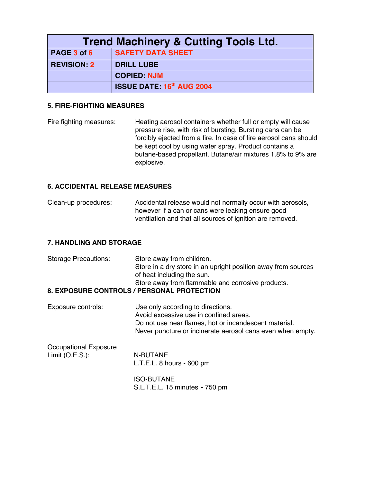| <b>Trend Machinery &amp; Cutting Tools Ltd.</b> |                                  |  |
|-------------------------------------------------|----------------------------------|--|
| PAGE 3 of 6                                     | <b>SAFETY DATA SHEET</b>         |  |
| <b>REVISION: 2</b>                              | <b>DRILL LUBE</b>                |  |
|                                                 | <b>COPIED: NJM</b>               |  |
|                                                 | <b>ISSUE DATE: 16th AUG 2004</b> |  |

#### **5. FIRE-FIGHTING MEASURES**

Fire fighting measures: Heating aerosol containers whether full or empty will cause pressure rise, with risk of bursting. Bursting cans can be forcibly ejected from a fire. In case of fire aerosol cans should be kept cool by using water spray. Product contains a butane-based propellant. Butane/air mixtures 1.8% to 9% are explosive.

#### **6. ACCIDENTAL RELEASE MEASURES**

Clean-up procedures: Accidental release would not normally occur with aerosols, however if a can or cans were leaking ensure good ventilation and that all sources of ignition are removed.

#### **7. HANDLING AND STORAGE**

| <b>Storage Precautions:</b> | Store away from children.                                     |
|-----------------------------|---------------------------------------------------------------|
|                             | Store in a dry store in an upright position away from sources |
|                             | of heat including the sun.                                    |
|                             | Store away from flammable and corrosive products.             |
|                             | 8. EXPOSURE CONTROLS / PERSONAL PROTECTION                    |

Exposure controls: Use only according to directions. Avoid excessive use in confined areas. Do not use near flames, hot or incandescent material. Never puncture or incinerate aerosol cans even when empty.

| Occupational Exposure |                  |
|-----------------------|------------------|
| Limit (O.E.S.):       | N-BUTANE         |
|                       | L.T.E.L. 8 hours |

ISO-BUTANE S.L.T.E.L. 15 minutes - 750 pm

 $-600$  pm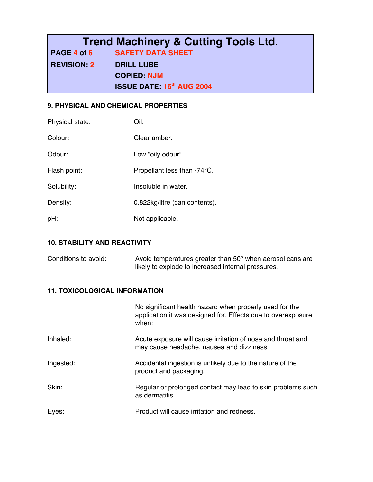| <b>Trend Machinery &amp; Cutting Tools Ltd.</b> |                                  |  |
|-------------------------------------------------|----------------------------------|--|
| PAGE 4 of 6                                     | <b>SAFETY DATA SHEET</b>         |  |
| <b>REVISION: 2</b>                              | <b>DRILL LUBE</b>                |  |
|                                                 | <b>COPIED: NJM</b>               |  |
|                                                 | <b>ISSUE DATE: 16th AUG 2004</b> |  |

# **9. PHYSICAL AND CHEMICAL PROPERTIES**

| Physical state: | Oil.                          |
|-----------------|-------------------------------|
| Colour:         | Clear amber.                  |
| Odour:          | Low "oily odour".             |
| Flash point:    | Propellant less than -74°C.   |
| Solubility:     | Insoluble in water.           |
| Density:        | 0.822kg/litre (can contents). |
| pH:             | Not applicable.               |

# **10. STABILITY AND REACTIVITY**

| Conditions to avoid: | Avoid temperatures greater than $50^{\circ}$ when aerosol cans are |
|----------------------|--------------------------------------------------------------------|
|                      | likely to explode to increased internal pressures.                 |

## **11. TOXICOLOGICAL INFORMATION**

|           | No significant health hazard when properly used for the<br>application it was designed for. Effects due to overexposure<br>when: |
|-----------|----------------------------------------------------------------------------------------------------------------------------------|
| Inhaled:  | Acute exposure will cause irritation of nose and throat and<br>may cause headache, nausea and dizziness.                         |
| Ingested: | Accidental ingestion is unlikely due to the nature of the<br>product and packaging.                                              |
| Skin:     | Regular or prolonged contact may lead to skin problems such<br>as dermatitis.                                                    |
| Eyes:     | Product will cause irritation and redness.                                                                                       |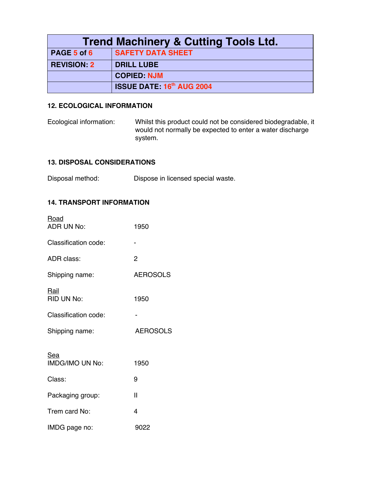| <b>Trend Machinery &amp; Cutting Tools Ltd.</b> |                                  |  |
|-------------------------------------------------|----------------------------------|--|
| PAGE 5 of 6                                     | <b>SAFETY DATA SHEET</b>         |  |
| <b>REVISION: 2</b>                              | <b>DRILL LUBE</b>                |  |
|                                                 | <b>COPIED: NJM</b>               |  |
|                                                 | <b>ISSUE DATE: 16th AUG 2004</b> |  |

### **12. ECOLOGICAL INFORMATION**

Ecological information: Whilst this product could not be considered biodegradable, it would not normally be expected to enter a water discharge system.

### **13. DISPOSAL CONSIDERATIONS**

Disposal method: Dispose in licensed special waste.

### **14. TRANSPORT INFORMATION**

| Road<br><b>ADR UN No:</b>     | 1950            |
|-------------------------------|-----------------|
| Classification code:          |                 |
| ADR class:                    | 2               |
| Shipping name:                | <b>AEROSOLS</b> |
| Rail<br>RID UN No:            | 1950            |
| Classification code:          |                 |
|                               |                 |
| Shipping name:                | <b>AEROSOLS</b> |
| Sea<br><b>IMDG/IMO UN No:</b> | 1950            |
| Class:                        | 9               |
| Packaging group:              | Ш               |
| Trem card No:                 | 4               |